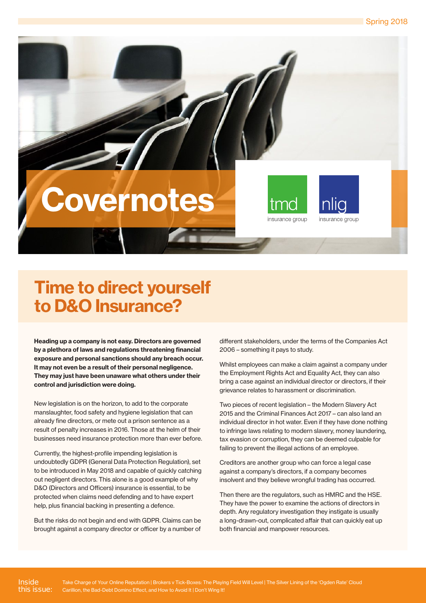# wernotes



insurance group



Heading up a company is not easy. Directors are governed by a plethora of laws and regulations threatening financial exposure and personal sanctions should any breach occur. It may not even be a result of their personal negligence. They may just have been unaware what others under their control and jurisdiction were doing.

New legislation is on the horizon, to add to the corporate manslaughter, food safety and hygiene legislation that can already fine directors, or mete out a prison sentence as a result of penalty increases in 2016. Those at the helm of their businesses need insurance protection more than ever before.

Currently, the highest-profile impending legislation is undoubtedly GDPR (General Data Protection Regulation), set to be introduced in May 2018 and capable of quickly catching out negligent directors. This alone is a good example of why D&O (Directors and Officers) insurance is essential, to be protected when claims need defending and to have expert help, plus financial backing in presenting a defence.

But the risks do not begin and end with GDPR. Claims can be brought against a company director or officer by a number of different stakeholders, under the terms of the Companies Act 2006 – something it pays to study.

Whilst employees can make a claim against a company under the Employment Rights Act and Equality Act, they can also bring a case against an individual director or directors, if their grievance relates to harassment or discrimination.

Two pieces of recent legislation – the Modern Slavery Act 2015 and the Criminal Finances Act 2017 – can also land an individual director in hot water. Even if they have done nothing to infringe laws relating to modern slavery, money laundering, tax evasion or corruption, they can be deemed culpable for failing to prevent the illegal actions of an employee.

Creditors are another group who can force a legal case against a company's directors, if a company becomes insolvent and they believe wrongful trading has occurred.

Then there are the regulators, such as HMRC and the HSE. They have the power to examine the actions of directors in depth. Any regulatory investigation they instigate is usually a long-drawn-out, complicated affair that can quickly eat up both financial and manpower resources.

Inside this issue: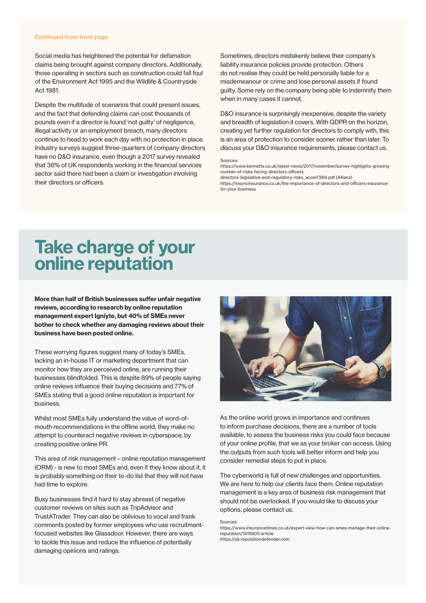#### Continued from front page

Social media has heightened the potential for defamation claims being brought against company directors. Additionally, those operating in sectors such as construction could fall foul of the Environment Act 1995 and the Wildlife & Countryside Act 1981.

Despite the multitude of scenarios that could present issues, and the fact that defending claims can cost thousands of pounds even if a director is found 'not guilty' of negligence, illegal activity or an employment breach, many directors continue to head to work each day with no protection in place. Industry surveys suggest three-quarters of company directors have no D&O insurance, even though a 2017 survey revealed that 36% of UK respondents working in the financial services sector said there had been a claim or investigation involving their directors or officers.

Sometimes, directors mistakenly believe their company's liability insurance policies provide protection. Others do not realise they could be held personally liable for a misdemeanour or crime and lose personal assets if found guilty. Some rely on the company being able to indemnify them when in many cases it cannot.

D&O insurance is surprisingly inexpensive, despite the variety and breadth of legislation it covers. With GDPR on the horizon, creating yet further regulation for directors to comply with, this is an area of protection to consider sooner rather than later. To discuss your D&O insurance requirements, please contact us.

#### **Sources**

https://www.kennetts.co.uk/latest-news/2017/november/survey-highlights-growingnumber-of-risks-facing-directors-officers

directors-legislative-and-regulatory-risks\_acom7366.pdf (Allianz)

https://insyncinsurance.co.uk/the-importance-of-directors-and-officers-insurancefor-your-business

#### Take charge of your online reputation

More than half of British businesses suffer unfair negative reviews, according to research by online reputation management expert Igniyte, but 40% of SMEs never bother to check whether any damaging reviews about their business have been posted online.

These worrying figures suggest many of today's SMEs, lacking an in-house IT or marketing department that can monitor how they are perceived online, are running their businesses blindfolded. This is despite 89% of people saying online reviews influence their buying decisions and 77% of SMEs stating that a good online reputation is important for business.

Whilst most SMEs fully understand the value of word-ofmouth recommendations in the offline world, they make no attempt to counteract negative reviews in cyberspace, by creating positive online PR.

This area of risk management – online reputation management (ORM) - is new to most SMEs and, even if they know about it, it is probably something on their to-do list that they will not have had time to explore.

Busy businesses find it hard to stay abreast of negative customer reviews on sites such as TripAdvisor and TrustATrader. They can also be oblivious to vocal and frank comments posted by former employees who use recruitmentfocused websites like Glassdoor. However, there are ways to tackle this issue and reduce the influence of potentially damaging opinions and ratings.



As the online world grows in importance and continues to inform purchase decisions, there are a number of tools available, to assess the business risks you could face because of your online profile, that we as your broker can access. Using the outputs from such tools will better inform and help you consider remedial steps to put in place.

The cyberworld is full of new challenges and opportunities. We are here to help our clients face them. Online reputation management is a key area of business risk management that should not be overlooked. If you would like to discuss your options, please contact us.

Sources

https://www.insurancetimes.co.uk/expert-view-how-can-smes-manage-their-onlinereputation/1419905.article https://uk.reputationdefender.com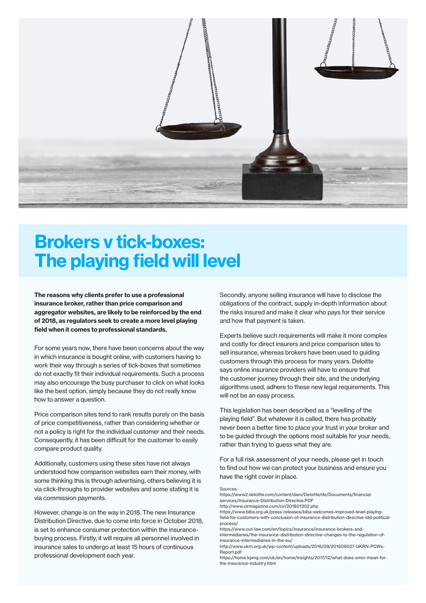

### Brokers v tick-boxes: The playing field will level

The reasons why clients prefer to use a professional insurance broker, rather than price comparison and aggregator websites, are likely to be reinforced by the end of 2018, as regulators seek to create a more level playing field when it comes to professional standards.

For some years now, there have been concerns about the way in which insurance is bought online, with customers having to work their way through a series of tick-boxes that sometimes do not exactly fit their individual requirements. Such a process may also encourage the busy purchaser to click on what looks like the best option, simply because they do not really know how to answer a question.

Price comparison sites tend to rank results purely on the basis of price competitiveness, rather than considering whether or not a policy is right for the individual customer and their needs. Consequently, it has been difficult for the customer to easily compare product quality.

Additionally, customers using these sites have not always understood how comparison websites earn their money, with some thinking this is through advertising, others believing it is via click-throughs to provider websites and some stating it is via commission payments.

However, change is on the way in 2018. The new Insurance Distribution Directive, due to come into force in October 2018, is set to enhance consumer protection within the insurancebuying process. Firstly, it will require all personnel involved in insurance sales to undergo at least 15 hours of continuous professional development each year.

Secondly, anyone selling insurance will have to disclose the obligations of the contract, supply in-depth information about the risks insured and make it clear who pays for their service and how that payment is taken.

Experts believe such requirements will make it more complex and costly for direct insurers and price comparison sites to sell insurance, whereas brokers have been used to guiding customers through this process for many years. Deloitte says online insurance providers will have to ensure that the customer journey through their site, and the underlying algorithms used, adhere to these new legal requirements. This will not be an easy process.

This legislation has been described as a "levelling of the playing field". But whatever it is called, there has probably never been a better time to place your trust in your broker and to be guided through the options most suitable for your needs, rather than trying to guess what they are.

For a full risk assessment of your needs, please get in touch to find out how we can protect your business and ensure you have the right cover in place.

Sources:

https://www2.deloitte.com/content/dam/Deloitte/de/Documents/financialservices/Insurance-Distribution-Directive.PDF

http://www.cirmagazine.com/cir/201801302.php

https://www.biba.org.uk/press-releases/biba-welcomes-improved-level-playingfield-for-customers-with-conclusion-of-insurance-distribution-directive-idd-politicalprocess/

https://www.out-law.com/en/topics/insurance/insurance-brokers-andintermediaries/the-insurance-distribution-directive-changes-to-the-regulation-of-

insurance-intermediaries-in-the-eu/

http://www.ukrn.org.uk/wp-content/uploads/2016/09/201609027-UKRN-PCWs-Report.pdf

https://home.kpmg.com/uk/en/home/insights/2017/12/what-does-smcr-mean-forthe-insurance-industry.html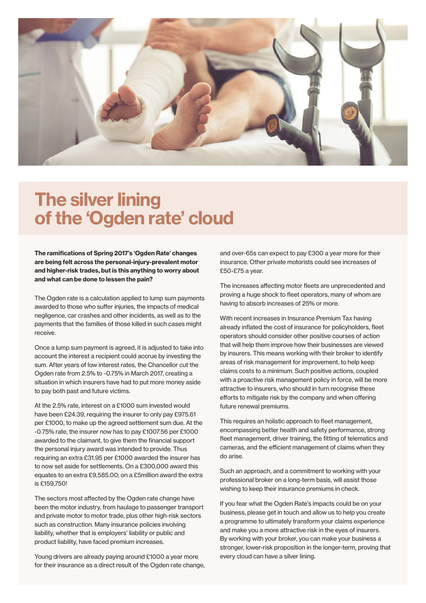

#### The silver lining of the 'Ogden rate' cloud

The ramifications of Spring 2017's 'Ogden Rate' changes are being felt across the personal-injury-prevalent motor and higher-risk trades, but is this anything to worry about and what can be done to lessen the pain?

The Ogden rate is a calculation applied to lump sum payments awarded to those who suffer injuries, the impacts of medical negligence, car crashes and other incidents, as well as to the payments that the families of those killed in such cases might receive.

Once a lump sum payment is agreed, it is adjusted to take into account the interest a recipient could accrue by investing the sum. After years of low interest rates, the Chancellor cut the Ogden rate from 2.5% to -0.75% in March 2017, creating a situation in which insurers have had to put more money aside to pay both past and future victims.

At the 2.5% rate, interest on a £1000 sum invested would have been £24.39, requiring the insurer to only pay £975.61 per £1000, to make up the agreed settlement sum due. At the -0.75% rate, the insurer now has to pay £1007.56 per £1000 awarded to the claimant, to give them the financial support the personal injury award was intended to provide. Thus requiring an extra £31.95 per £1000 awarded the insurer has to now set aside for settlements. On a £300,000 award this equates to an extra £9,585.00; on a £5million award the extra is £159,750!

The sectors most affected by the Ogden rate change have been the motor industry, from haulage to passenger transport and private motor to motor trade, plus other high-risk sectors such as construction. Many insurance policies involving liability, whether that is employers' liability or public and product liability, have faced premium increases.

Young drivers are already paying around £1000 a year more for their insurance as a direct result of the Ogden rate change, and over-65s can expect to pay £300 a year more for their insurance. Other private motorists could see increases of £50-£75 a year.

The increases affecting motor fleets are unprecedented and proving a huge shock to fleet operators, many of whom are having to absorb increases of 25% or more.

With recent increases in Insurance Premium Tax having already inflated the cost of insurance for policyholders, fleet operators should consider other positive courses of action that will help them improve how their businesses are viewed by insurers. This means working with their broker to identify areas of risk management for improvement, to help keep claims costs to a minimum. Such positive actions, coupled with a proactive risk management policy in force, will be more attractive to insurers, who should in turn recognise these efforts to mitigate risk by the company and when offering future renewal premiums.

This requires an holistic approach to fleet management, encompassing better health and safety performance, strong fleet management, driver training, the fitting of telematics and cameras, and the efficient management of claims when they do arise.

Such an approach, and a commitment to working with your professional broker on a long-term basis, will assist those wishing to keep their insurance premiums in check.

If you fear what the Ogden Rate's impacts could be on your business, please get in touch and allow us to help you create a programme to ultimately transform your claims experience and make you a more attractive risk in the eyes of insurers. By working with your broker, you can make your business a stronger, lower-risk proposition in the longer-term, proving that every cloud can have a silver lining.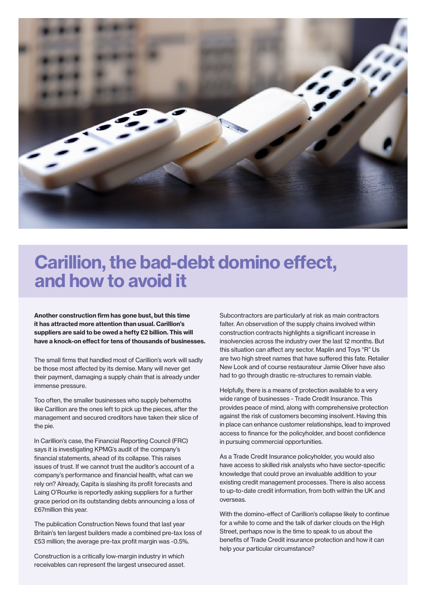

#### Carillion, the bad-debt domino effect, and how to avoid it

Another construction firm has gone bust, but this time it has attracted more attention than usual. Carillion's suppliers are said to be owed a hefty £2 billion. This will have a knock-on effect for tens of thousands of businesses.

The small firms that handled most of Carillion's work will sadly be those most affected by its demise. Many will never get their payment, damaging a supply chain that is already under immense pressure.

Too often, the smaller businesses who supply behemoths like Carillion are the ones left to pick up the pieces, after the management and secured creditors have taken their slice of the pie.

In Carillion's case, the Financial Reporting Council (FRC) says it is investigating KPMG's audit of the company's financial statements, ahead of its collapse. This raises issues of trust. If we cannot trust the auditor's account of a company's performance and financial health, what can we rely on? Already, Capita is slashing its profit forecasts and Laing O'Rourke is reportedly asking suppliers for a further grace period on its outstanding debts announcing a loss of £67million this year.

The publication Construction News found that last year Britain's ten largest builders made a combined pre-tax loss of £53 million; the average pre-tax profit margin was -0.5%.

Construction is a critically low-margin industry in which receivables can represent the largest unsecured asset. Subcontractors are particularly at risk as main contractors falter. An observation of the supply chains involved within construction contracts highlights a significant increase in insolvencies across the industry over the last 12 months. But this situation can affect any sector. Maplin and Toys "R" Us are two high street names that have suffered this fate. Retailer New Look and of course restaurateur Jamie Oliver have also had to go through drastic re-structures to remain viable.

Helpfully, there is a means of protection available to a very wide range of businesses - Trade Credit Insurance. This provides peace of mind, along with comprehensive protection against the risk of customers becoming insolvent. Having this in place can enhance customer relationships, lead to improved access to finance for the policyholder, and boost confidence in pursuing commercial opportunities.

As a Trade Credit Insurance policyholder, you would also have access to skilled risk analysts who have sector-specific knowledge that could prove an invaluable addition to your existing credit management processes. There is also access to up-to-date credit information, from both within the UK and overseas.

With the domino-effect of Carillion's collapse likely to continue for a while to come and the talk of darker clouds on the High Street, perhaps now is the time to speak to us about the benefits of Trade Credit insurance protection and how it can help your particular circumstance?